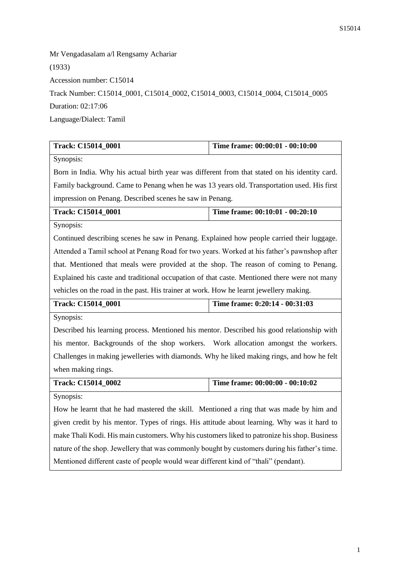Mr Vengadasalam a/l Rengsamy Achariar (1933) Accession number: C15014 Track Number: C15014\_0001, C15014\_0002, C15014\_0003, C15014\_0004, C15014\_0005 Duration: 02:17:06 Language/Dialect: Tamil

| Track: C15014_0001                                                                            | Time frame: 00:00:01 - 00:10:00 |  |
|-----------------------------------------------------------------------------------------------|---------------------------------|--|
| Synopsis:                                                                                     |                                 |  |
| Born in India. Why his actual birth year was different from that stated on his identity card. |                                 |  |
| Family background. Came to Penang when he was 13 years old. Transportation used. His first    |                                 |  |
| impression on Penang. Described scenes he saw in Penang.                                      |                                 |  |
| Track: C15014_0001                                                                            | Time frame: 00:10:01 - 00:20:10 |  |
| Synopsis:                                                                                     |                                 |  |
| Continued describing scenes he saw in Penang. Explained how people carried their luggage.     |                                 |  |
| Attended a Tamil school at Penang Road for two years. Worked at his father's pawnshop after   |                                 |  |
| that. Mentioned that meals were provided at the shop. The reason of coming to Penang.         |                                 |  |
| Explained his caste and traditional occupation of that caste. Mentioned there were not many   |                                 |  |
| vehicles on the road in the past. His trainer at work. How he learnt jewellery making.        |                                 |  |
| Track: C15014_0001                                                                            | Time frame: 0:20:14 - 00:31:03  |  |
| Synopsis:                                                                                     |                                 |  |
| Described his learning process. Mentioned his mentor. Described his good relationship with    |                                 |  |
| his mentor. Backgrounds of the shop workers. Work allocation amongst the workers.             |                                 |  |
| Challenges in making jewelleries with diamonds. Why he liked making rings, and how he felt    |                                 |  |
| when making rings.                                                                            |                                 |  |
| Track: C15014_0002                                                                            | Time frame: 00:00:00 - 00:10:02 |  |
| Synopsis:                                                                                     |                                 |  |
| How he learnt that he had mastered the skill. Mentioned a ring that was made by him and       |                                 |  |
| given credit by his mentor. Types of rings. His attitude about learning. Why was it hard to   |                                 |  |
| make Thali Kodi. His main customers. Why his customers liked to patronize his shop. Business  |                                 |  |
| nature of the shop. Jewellery that was commonly bought by customers during his father's time. |                                 |  |
| Mentioned different caste of people would wear different kind of "thali" (pendant).           |                                 |  |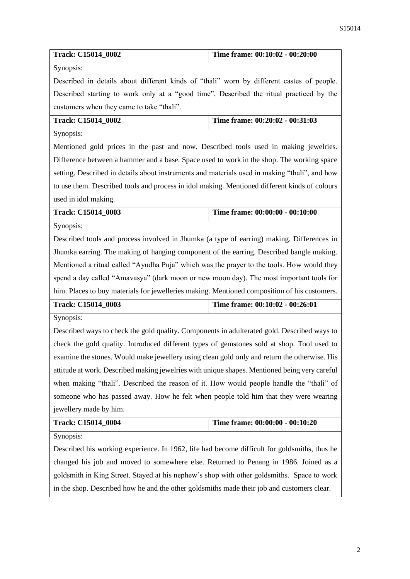| Track: C15014_0002                                                                            | Time frame: 00:10:02 - 00:20:00 |  |
|-----------------------------------------------------------------------------------------------|---------------------------------|--|
| Synopsis:                                                                                     |                                 |  |
| Described in details about different kinds of "thali" worn by different castes of people.     |                                 |  |
| Described starting to work only at a "good time". Described the ritual practiced by the       |                                 |  |
| customers when they came to take "thali".                                                     |                                 |  |
| Track: C15014_0002                                                                            | Time frame: 00:20:02 - 00:31:03 |  |
| Synopsis:                                                                                     |                                 |  |
| Mentioned gold prices in the past and now. Described tools used in making jewelries.          |                                 |  |
| Difference between a hammer and a base. Space used to work in the shop. The working space     |                                 |  |
| setting. Described in details about instruments and materials used in making "thali", and how |                                 |  |
| to use them. Described tools and process in idol making. Mentioned different kinds of colours |                                 |  |
| used in idol making.                                                                          |                                 |  |
| Track: C15014_0003                                                                            | Time frame: 00:00:00 - 00:10:00 |  |
| Synopsis:                                                                                     |                                 |  |
| Described tools and process involved in Jhumka (a type of earring) making. Differences in     |                                 |  |
| Jhumka earring. The making of hanging component of the earring. Described bangle making.      |                                 |  |
| Mentioned a ritual called "Ayudha Puja" which was the prayer to the tools. How would they     |                                 |  |
| spend a day called "Amavasya" (dark moon or new moon day). The most important tools for       |                                 |  |
| him. Places to buy materials for jewelleries making. Mentioned composition of his customers.  |                                 |  |
| Track: C15014_0003                                                                            | Time frame: 00:10:02 - 00:26:01 |  |
| Synopsis:                                                                                     |                                 |  |
| Described ways to check the gold quality. Components in adulterated gold. Described ways to   |                                 |  |
| check the gold quality. Introduced different types of gemstones sold at shop. Tool used to    |                                 |  |
| examine the stones. Would make jewellery using clean gold only and return the otherwise. His  |                                 |  |
| attitude at work. Described making jewelries with unique shapes. Mentioned being very careful |                                 |  |
| when making "thali". Described the reason of it. How would people handle the "thali" of       |                                 |  |
| someone who has passed away. How he felt when people told him that they were wearing          |                                 |  |
| jewellery made by him.                                                                        |                                 |  |
| Track: C15014_0004                                                                            | Time frame: 00:00:00 - 00:10:20 |  |
| Synopsis:                                                                                     |                                 |  |
| Described his working experience. In 1962, life had become difficult for goldsmiths, thus he  |                                 |  |
| changed his job and moved to somewhere else. Returned to Penang in 1986. Joined as a          |                                 |  |
| goldsmith in King Street. Stayed at his nephew's shop with other goldsmiths. Space to work    |                                 |  |
| in the shop. Described how he and the other goldsmiths made their job and customers clear.    |                                 |  |